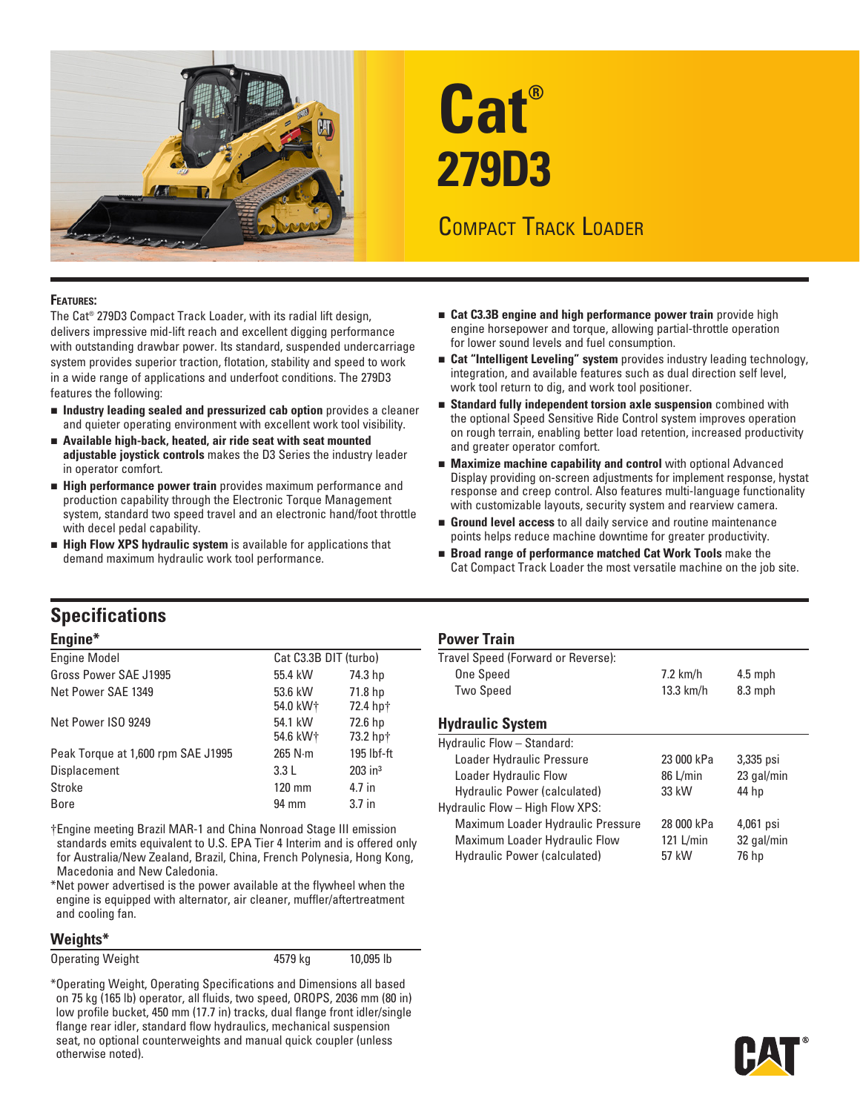

# **Cat® 279D3**

# COMPACT TRACK LOADER

#### **Features:**

The Cat® 279D3 Compact Track Loader, with its radial lift design, delivers impressive mid-lift reach and excellent digging performance with outstanding drawbar power. Its standard, suspended undercarriage system provides superior traction, flotation, stability and speed to work in a wide range of applications and underfoot conditions. The 279D3 features the following:

- <sup>n</sup> **Industry leading sealed and pressurized cab option** provides a cleaner and quieter operating environment with excellent work tool visibility.
- <sup>n</sup> **Available high-back, heated, air ride seat with seat mounted adjustable joystick controls** makes the D3 Series the industry leader in operator comfort.
- **High performance power train** provides maximum performance and production capability through the Electronic Torque Management system, standard two speed travel and an electronic hand/foot throttle with decel pedal capability.
- **n** High Flow XPS hydraulic system is available for applications that demand maximum hydraulic work tool performance.
- **n** Cat C3.3B engine and high performance power train provide high engine horsepower and torque, allowing partial-throttle operation for lower sound levels and fuel consumption.
- **n** Cat "Intelligent Leveling" system provides industry leading technology, integration, and available features such as dual direction self level, work tool return to dig, and work tool positioner.
- **Example 15 Standard fully independent torsion axle suspension** combined with the optional Speed Sensitive Ride Control system improves operation on rough terrain, enabling better load retention, increased productivity and greater operator comfort.
- **n** Maximize machine capability and control with optional Advanced Display providing on-screen adjustments for implement response, hystat response and creep control. Also features multi-language functionality with customizable layouts, security system and rearview camera.
- **Ground level access** to all daily service and routine maintenance points helps reduce machine downtime for greater productivity.
- **n** Broad range of performance matched Cat Work Tools make the Cat Compact Track Loader the most versatile machine on the job site.

## **Specifications**

#### **Engine\***

| <b>Engine Model</b>                | Cat C3.3B DIT (turbo) |                       |
|------------------------------------|-----------------------|-----------------------|
| Gross Power SAE J1995              | 55.4 kW               | 74.3 hp               |
| Net Power SAE 1349                 | 53.6 kW<br>54.0 kW+   | 71.8 hp<br>72.4 hpt   |
| Net Power ISO 9249                 | 54.1 kW<br>54.6 kW+   | 72.6 hp<br>73.2 hp†   |
| Peak Torque at 1,600 rpm SAE J1995 | $265$ N $\cdot$ m     | 195 lbf-ft            |
| <b>Displacement</b>                | 3.3L                  | $203$ in <sup>3</sup> |
| Stroke                             | $120 \text{ mm}$      | 4.7 in                |
| Bore                               | 94 mm                 | 3.7 <sub>in</sub>     |

†Engine meeting Brazil MAR-1 and China Nonroad Stage III emission standards emits equivalent to U.S. EPA Tier 4 Interim and is offered only for Australia/New Zealand, Brazil, China, French Polynesia, Hong Kong, Macedonia and New Caledonia.

\*Net power advertised is the power available at the flywheel when the engine is equipped with alternator, air cleaner, muffler/aftertreatment and cooling fan.

#### **Weights\***

Operating Weight **10,095** lb 4579 kg 10,095 lb

\*Operating Weight, Operating Specifications and Dimensions all based on 75 kg (165 lb) operator, all fluids, two speed, OROPS, 2036 mm (80 in) low profile bucket, 450 mm (17.7 in) tracks, dual flange front idler/single flange rear idler, standard flow hydraulics, mechanical suspension seat, no optional counterweights and manual quick coupler (unless otherwise noted).

#### **Power Train**

| Travel Speed (Forward or Reverse): |             |           |  |
|------------------------------------|-------------|-----------|--|
| One Speed                          | 7.2 km/h    | $4.5$ mph |  |
| Two Speed                          | $13.3$ km/h | $8.3$ mph |  |
|                                    |             |           |  |

#### **Hydraulic System**

| Hydraulic Flow - Standard:        |            |            |  |
|-----------------------------------|------------|------------|--|
| Loader Hydraulic Pressure         | 23 000 kPa | 3,335 psi  |  |
| Loader Hydraulic Flow             | 86 L/min   | 23 gal/min |  |
| Hydraulic Power (calculated)      | 33 kW      | 44 hp      |  |
| Hydraulic Flow - High Flow XPS:   |            |            |  |
| Maximum Loader Hydraulic Pressure | 28 000 kPa | 4,061 psi  |  |
| Maximum Loader Hydraulic Flow     | 121 L/min  | 32 gal/min |  |
| Hydraulic Power (calculated)      | 57 kW      | 76 hp      |  |
|                                   |            |            |  |

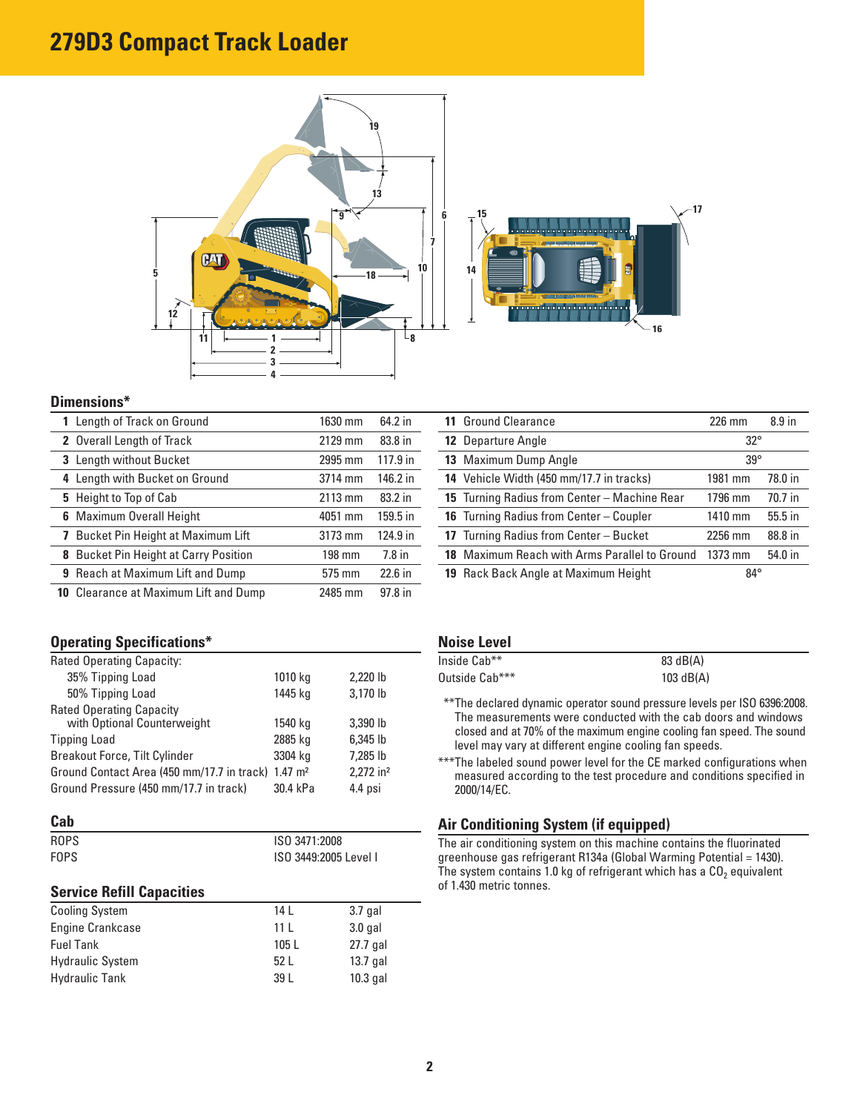# **279D3 Compact Track Loader**





#### **Dimensions\***

| 1 Length of Track on Ground                  | 1630 mm | 64.2 in  |
|----------------------------------------------|---------|----------|
| 2 Overall Length of Track                    | 2129 mm | 83.8 in  |
| 3 Length without Bucket                      | 2995 mm | 117.9 in |
| 4 Length with Bucket on Ground               | 3714 mm | 146.2 in |
| 5 Height to Top of Cab                       | 2113 mm | 83.2 in  |
| <b>6</b> Maximum Overall Height              | 4051 mm | 159.5 in |
| 7 Bucket Pin Height at Maximum Lift          | 3173 mm | 124.9 in |
| <b>8</b> Bucket Pin Height at Carry Position | 198 mm  | $7.8$ in |
| 9 Reach at Maximum Lift and Dump             | 575 mm  | 22.6 in  |
| <b>10</b> Clearance at Maximum Lift and Dump | 2485 mm | 97.8 in  |

#### **Operating Specifications\***

| Rated Operating Capacity:                  |                    |                         |
|--------------------------------------------|--------------------|-------------------------|
| 35% Tipping Load                           | 1010 kg            | 2,220 lb                |
| 50% Tipping Load                           | 1445 kg            | 3,170 lb                |
| <b>Rated Operating Capacity</b>            |                    |                         |
| with Optional Counterweight                | 1540 kg            | 3,390 lb                |
| <b>Tipping Load</b>                        | 2885 kg            | 6,345 lb                |
| <b>Breakout Force, Tilt Cylinder</b>       | 3304 kg            | 7.285 lb                |
| Ground Contact Area (450 mm/17.7 in track) | $1.47 \text{ m}^2$ | $2.272$ in <sup>2</sup> |
| Ground Pressure (450 mm/17.7 in track)     | 30.4 kPa           | 4.4 psi                 |

#### **Cab**

| ROPS                             | ISO 3471:2008   |                       |  |
|----------------------------------|-----------------|-----------------------|--|
| <b>FOPS</b>                      |                 | ISO 3449:2005 Level I |  |
| <b>Service Refill Capacities</b> |                 |                       |  |
| <b>Cooling System</b>            | 14 L            | $3.7$ gal             |  |
| <b>Engine Crankcase</b>          | 11 <sub>L</sub> | $3.0$ gal             |  |
| <b>Fuel Tank</b>                 | 105 L           | $27.7$ gal            |  |
| <b>Hydraulic System</b>          | 52L             | $13.7$ gal            |  |

Hydraulic Tank 39 L 10.3 gal

| <b>11 Ground Clearance</b>                           | $226$ mm     | 8.9 <sub>in</sub> |
|------------------------------------------------------|--------------|-------------------|
| <b>12 Departure Angle</b>                            | $32^{\circ}$ |                   |
| 13 Maximum Dump Angle                                | $39^\circ$   |                   |
| 14 Vehicle Width (450 mm/17.7 in tracks)             | 1981 mm      | 78.0 in           |
| 15 Turning Radius from Center - Machine Rear         | 1796 mm      | 70.7 in           |
| <b>16</b> Turning Radius from Center – Coupler       | 1410 mm      | 55.5 in           |
| 17 Turning Radius from Center - Bucket               | 2256 mm      | 88.8 in           |
| <b>18</b> Maximum Reach with Arms Parallel to Ground | 1373 mm      | 54.0 in           |
| <b>19</b> Rack Back Angle at Maximum Height          | $84^\circ$   |                   |

#### **Noise Level**

| Inside Cab**   | 83 dB(A)    |
|----------------|-------------|
| Outside Cab*** | $103$ dB(A) |

\*\*\*The declared dynamic operator sound pressure levels per ISO 6396:2008. The measurements were conducted with the cab doors and windows closed and at 70% of the maximum engine cooling fan speed. The sound level may vary at different engine cooling fan speeds.

\*\*\*The labeled sound power level for the CE marked configurations when measured according to the test procedure and conditions specified in 2000/14/EC.

#### **Air Conditioning System (if equipped)**

The air conditioning system on this machine contains the fluorinated greenhouse gas refrigerant R134a (Global Warming Potential = 1430). The system contains 1.0 kg of refrigerant which has a  $CO<sub>2</sub>$  equivalent of 1.430 metric tonnes.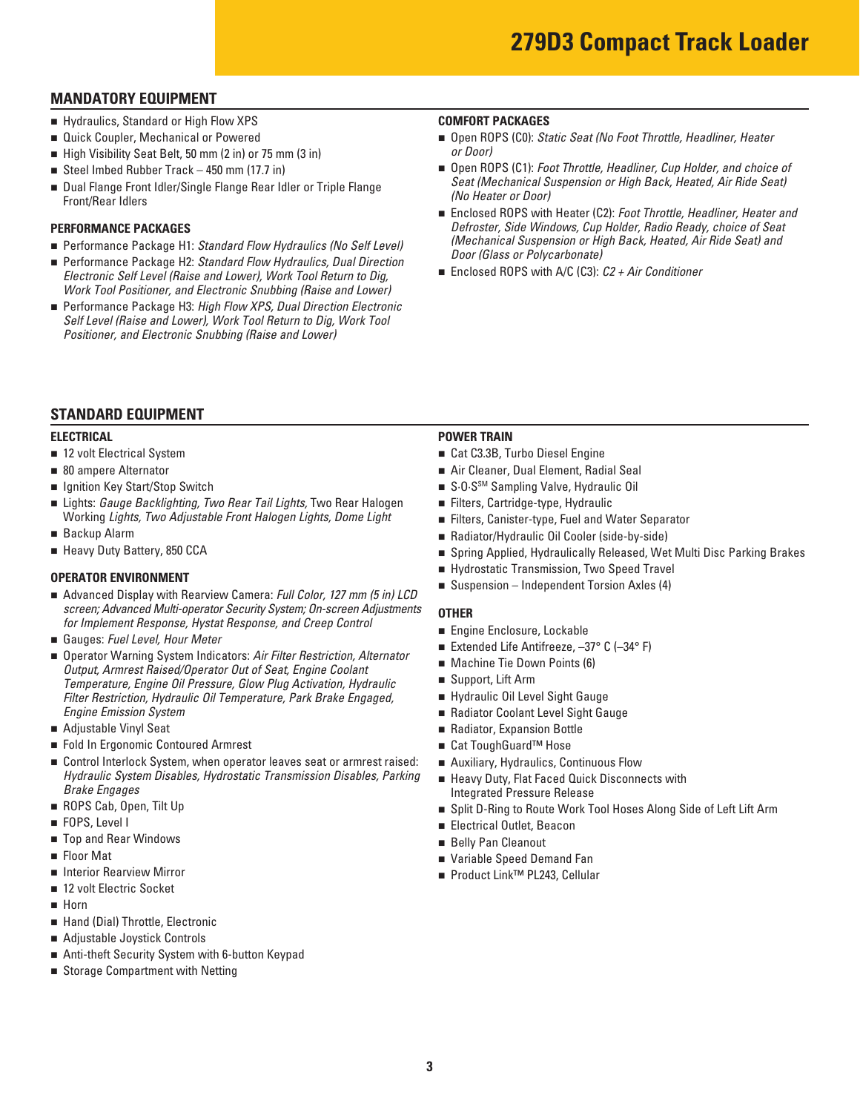### **MANDATORY EQUIPMENT**

- Hydraulics, Standard or High Flow XPS
- Quick Coupler, Mechanical or Powered
- High Visibility Seat Belt, 50 mm (2 in) or 75 mm (3 in)
- Steel Imbed Rubber Track  $-450$  mm (17.7 in)
- Dual Flange Front Idler/Single Flange Rear Idler or Triple Flange Front/Rear Idlers

#### **PERFORMANCE PACKAGES**

- Performance Package H1: *Standard Flow Hydraulics (No Self Level)*
- Performance Package H2: *Standard Flow Hydraulics, Dual Direction Electronic Self Level (Raise and Lower), Work Tool Return to Dig, Work Tool Positioner, and Electronic Snubbing (Raise and Lower)*
- Performance Package H3: *High Flow XPS, Dual Direction Electronic Self Level (Raise and Lower), Work Tool Return to Dig, Work Tool Positioner, and Electronic Snubbing (Raise and Lower)*

#### **COMFORT PACKAGES**

- Open ROPS (C0): *Static Seat (No Foot Throttle, Headliner, Heater or Door)*
- Open ROPS (C1): *Foot Throttle, Headliner, Cup Holder, and choice of Seat (Mechanical Suspension or High Back, Heated, Air Ride Seat) (No Heater or Door)*
- Enclosed ROPS with Heater (C2): *Foot Throttle, Headliner, Heater and Defroster, Side Windows, Cup Holder, Radio Ready, choice of Seat (Mechanical Suspension or High Back, Heated, Air Ride Seat) and Door (Glass or Polycarbonate)*
- Enclosed ROPS with A/C (C3): *C2 + Air Conditioner*

#### **STANDARD EQUIPMENT**

#### **ELECTRICAL**

- 12 volt Electrical System
- 80 ampere Alternator
- Ignition Key Start/Stop Switch
- Lights: *Gauge Backlighting, Two Rear Tail Lights*, Two Rear Halogen Working *Lights, Two Adjustable Front Halogen Lights, Dome Light*
- Backup Alarm
- Heavy Duty Battery, 850 CCA

#### **OPERATOR ENVIRONMENT**

- Advanced Display with Rearview Camera: *Full Color, 127 mm (5 in) LCD screen; Advanced Multi-operator Security System; On-screen Adjustments for Implement Response, Hystat Response, and Creep Control*
- Gauges: Fuel Level, Hour Meter
- Operator Warning System Indicators: Air Filter Restriction, Alternator *Output, Armrest Raised/Operator Out of Seat, Engine Coolant Temperature, Engine Oil Pressure, Glow Plug Activation, Hydraulic Filter Restriction, Hydraulic Oil Temperature, Park Brake Engaged, Engine Emission System*
- Adjustable Vinyl Seat
- Fold In Ergonomic Contoured Armrest
- Control Interlock System, when operator leaves seat or armrest raised: *Hydraulic System Disables, Hydrostatic Transmission Disables, Parking Brake Engages*
- ROPS Cab, Open, Tilt Up
- FOPS, Level I
- Top and Rear Windows
- Floor Mat
- Interior Rearview Mirror
- 12 volt Electric Socket
- **n** Horn
- Hand (Dial) Throttle, Electronic
- Adiustable Joystick Controls
- $\blacksquare$  Anti-theft Security System with 6-button Keypad
- Storage Compartment with Netting

#### **POWER TRAIN**

- Cat C3.3B, Turbo Diesel Engine
- Air Cleaner, Dual Element, Radial Seal
- S.O.S<sup>SM</sup> Sampling Valve, Hydraulic Oil
- Filters, Cartridge-type, Hydraulic
- Filters, Canister-type, Fuel and Water Separator
- Radiator/Hydraulic Oil Cooler (side-by-side)
- Spring Applied, Hydraulically Released, Wet Multi Disc Parking Brakes
- Hydrostatic Transmission, Two Speed Travel
- $\blacksquare$  Suspension Independent Torsion Axles (4)

#### **OTHER**

- $\blacksquare$  Engine Enclosure, Lockable
- Extended Life Antifreeze,  $-37^\circ$  C ( $-34^\circ$  F)
- $\blacksquare$  Machine Tie Down Points (6)
- Support, Lift Arm
- Hydraulic Oil Level Sight Gauge
- Radiator Coolant Level Sight Gauge
- Radiator, Expansion Bottle
- Cat ToughGuard™ Hose
- **n** Auxiliary, Hydraulics, Continuous Flow
- Heavy Duty, Flat Faced Quick Disconnects with Integrated Pressure Release
- Split D-Ring to Route Work Tool Hoses Along Side of Left Lift Arm
- Electrical Outlet, Beacon
- Belly Pan Cleanout
- Variable Speed Demand Fan
- Product Link™ PL243, Cellular